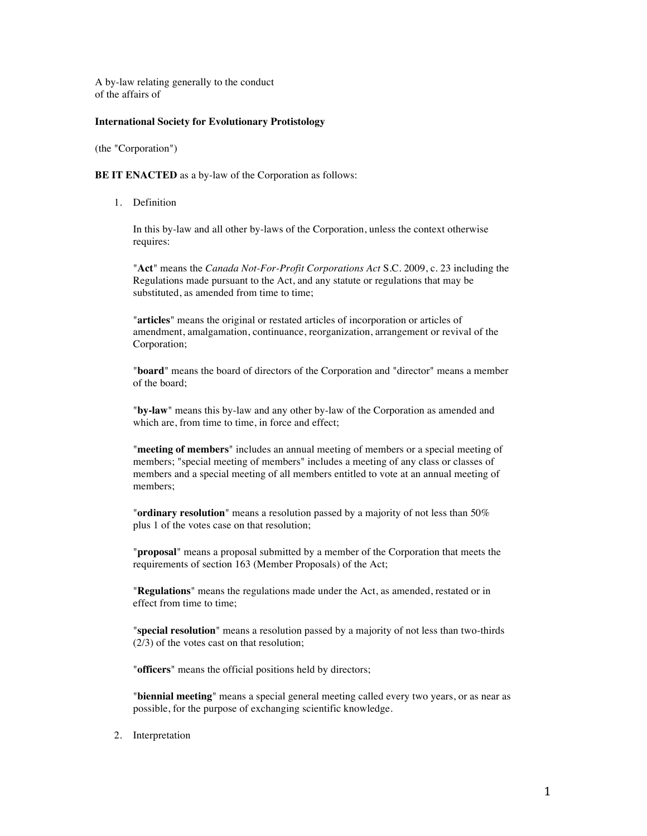A by-law relating generally to the conduct of the affairs of

### **International Society for Evolutionary Protistology**

(the "Corporation")

**BE IT ENACTED** as a by-law of the Corporation as follows:

1. Definition

In this by-law and all other by-laws of the Corporation, unless the context otherwise requires:

"**Act**" means the *Canada Not-For-Profit Corporations Act* S.C. 2009, c. 23 including the Regulations made pursuant to the Act, and any statute or regulations that may be substituted, as amended from time to time:

"**articles**" means the original or restated articles of incorporation or articles of amendment, amalgamation, continuance, reorganization, arrangement or revival of the Corporation;

"**board**" means the board of directors of the Corporation and "director" means a member of the board;

"**by-law**" means this by-law and any other by-law of the Corporation as amended and which are, from time to time, in force and effect;

"**meeting of members**" includes an annual meeting of members or a special meeting of members; "special meeting of members" includes a meeting of any class or classes of members and a special meeting of all members entitled to vote at an annual meeting of members;

"**ordinary resolution**" means a resolution passed by a majority of not less than 50% plus 1 of the votes case on that resolution;

"**proposal**" means a proposal submitted by a member of the Corporation that meets the requirements of section 163 (Member Proposals) of the Act;

"**Regulations**" means the regulations made under the Act, as amended, restated or in effect from time to time;

"**special resolution**" means a resolution passed by a majority of not less than two-thirds (2/3) of the votes cast on that resolution;

"**officers**" means the official positions held by directors;

"**biennial meeting**" means a special general meeting called every two years, or as near as possible, for the purpose of exchanging scientific knowledge.

2. Interpretation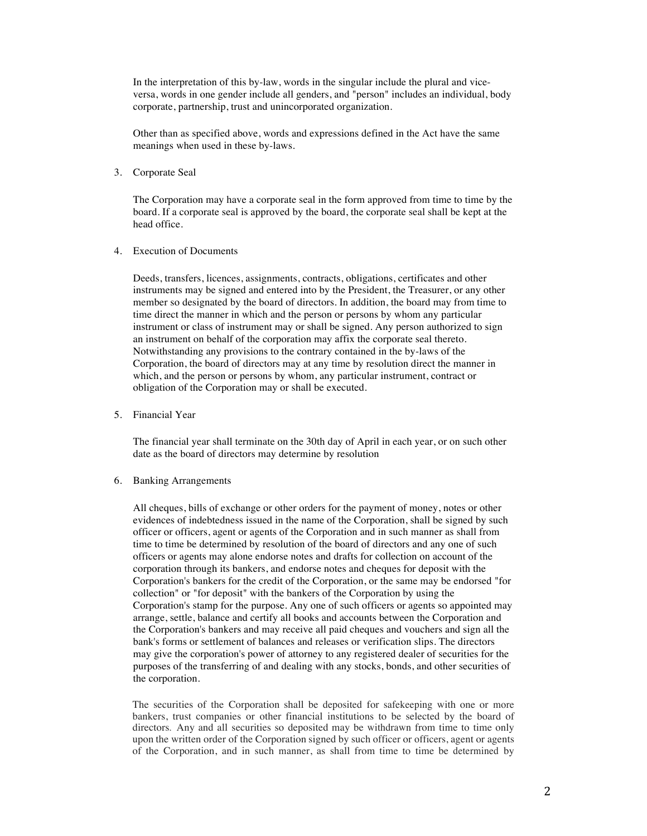In the interpretation of this by-law, words in the singular include the plural and viceversa, words in one gender include all genders, and "person" includes an individual, body corporate, partnership, trust and unincorporated organization.

Other than as specified above, words and expressions defined in the Act have the same meanings when used in these by-laws.

3. Corporate Seal

The Corporation may have a corporate seal in the form approved from time to time by the board. If a corporate seal is approved by the board, the corporate seal shall be kept at the head office.

4. Execution of Documents

Deeds, transfers, licences, assignments, contracts, obligations, certificates and other instruments may be signed and entered into by the President, the Treasurer, or any other member so designated by the board of directors. In addition, the board may from time to time direct the manner in which and the person or persons by whom any particular instrument or class of instrument may or shall be signed. Any person authorized to sign an instrument on behalf of the corporation may affix the corporate seal thereto. Notwithstanding any provisions to the contrary contained in the by-laws of the Corporation, the board of directors may at any time by resolution direct the manner in which, and the person or persons by whom, any particular instrument, contract or obligation of the Corporation may or shall be executed.

5. Financial Year

The financial year shall terminate on the 30th day of April in each year, or on such other date as the board of directors may determine by resolution

6. Banking Arrangements

All cheques, bills of exchange or other orders for the payment of money, notes or other evidences of indebtedness issued in the name of the Corporation, shall be signed by such officer or officers, agent or agents of the Corporation and in such manner as shall from time to time be determined by resolution of the board of directors and any one of such officers or agents may alone endorse notes and drafts for collection on account of the corporation through its bankers, and endorse notes and cheques for deposit with the Corporation's bankers for the credit of the Corporation, or the same may be endorsed "for collection" or "for deposit" with the bankers of the Corporation by using the Corporation's stamp for the purpose. Any one of such officers or agents so appointed may arrange, settle, balance and certify all books and accounts between the Corporation and the Corporation's bankers and may receive all paid cheques and vouchers and sign all the bank's forms or settlement of balances and releases or verification slips. The directors may give the corporation's power of attorney to any registered dealer of securities for the purposes of the transferring of and dealing with any stocks, bonds, and other securities of the corporation.

The securities of the Corporation shall be deposited for safekeeping with one or more bankers, trust companies or other financial institutions to be selected by the board of directors. Any and all securities so deposited may be withdrawn from time to time only upon the written order of the Corporation signed by such officer or officers, agent or agents of the Corporation, and in such manner, as shall from time to time be determined by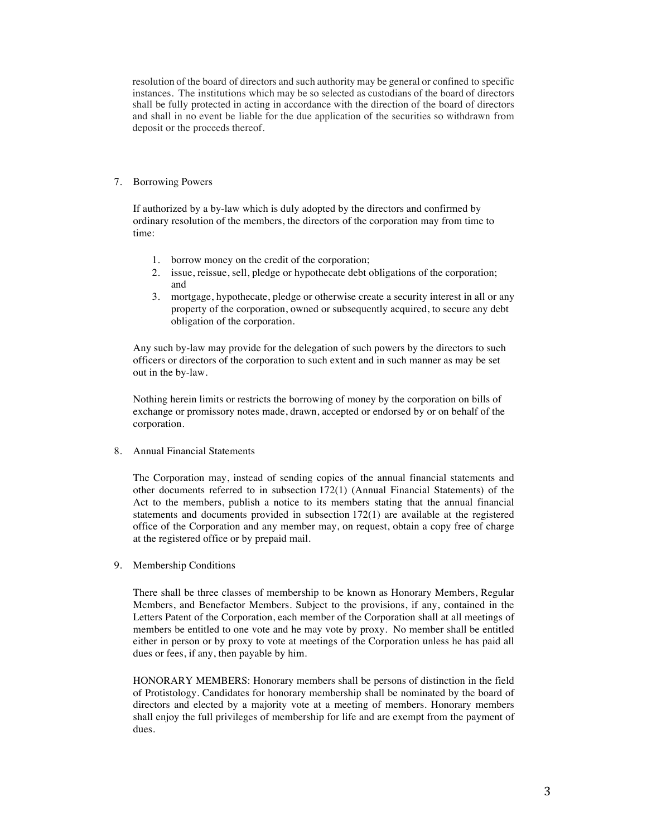resolution of the board of directors and such authority may be general or confined to specific instances. The institutions which may be so selected as custodians of the board of directors shall be fully protected in acting in accordance with the direction of the board of directors and shall in no event be liable for the due application of the securities so withdrawn from deposit or the proceeds thereof.

## 7. Borrowing Powers

If authorized by a by-law which is duly adopted by the directors and confirmed by ordinary resolution of the members, the directors of the corporation may from time to time:

- 1. borrow money on the credit of the corporation;
- 2. issue, reissue, sell, pledge or hypothecate debt obligations of the corporation; and
- 3. mortgage, hypothecate, pledge or otherwise create a security interest in all or any property of the corporation, owned or subsequently acquired, to secure any debt obligation of the corporation.

Any such by-law may provide for the delegation of such powers by the directors to such officers or directors of the corporation to such extent and in such manner as may be set out in the by-law.

Nothing herein limits or restricts the borrowing of money by the corporation on bills of exchange or promissory notes made, drawn, accepted or endorsed by or on behalf of the corporation.

## 8. Annual Financial Statements

The Corporation may, instead of sending copies of the annual financial statements and other documents referred to in subsection 172(1) (Annual Financial Statements) of the Act to the members, publish a notice to its members stating that the annual financial statements and documents provided in subsection 172(1) are available at the registered office of the Corporation and any member may, on request, obtain a copy free of charge at the registered office or by prepaid mail.

9. Membership Conditions

There shall be three classes of membership to be known as Honorary Members, Regular Members, and Benefactor Members. Subject to the provisions, if any, contained in the Letters Patent of the Corporation, each member of the Corporation shall at all meetings of members be entitled to one vote and he may vote by proxy. No member shall be entitled either in person or by proxy to vote at meetings of the Corporation unless he has paid all dues or fees, if any, then payable by him.

HONORARY MEMBERS: Honorary members shall be persons of distinction in the field of Protistology. Candidates for honorary membership shall be nominated by the board of directors and elected by a majority vote at a meeting of members. Honorary members shall enjoy the full privileges of membership for life and are exempt from the payment of dues.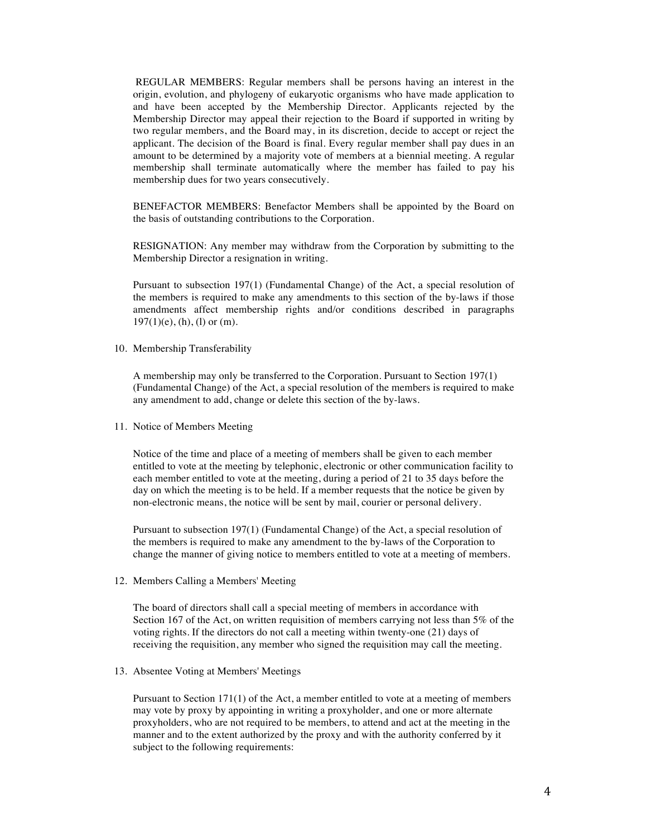REGULAR MEMBERS: Regular members shall be persons having an interest in the origin, evolution, and phylogeny of eukaryotic organisms who have made application to and have been accepted by the Membership Director. Applicants rejected by the Membership Director may appeal their rejection to the Board if supported in writing by two regular members, and the Board may, in its discretion, decide to accept or reject the applicant. The decision of the Board is final. Every regular member shall pay dues in an amount to be determined by a majority vote of members at a biennial meeting. A regular membership shall terminate automatically where the member has failed to pay his membership dues for two years consecutively.

BENEFACTOR MEMBERS: Benefactor Members shall be appointed by the Board on the basis of outstanding contributions to the Corporation.

RESIGNATION: Any member may withdraw from the Corporation by submitting to the Membership Director a resignation in writing.

Pursuant to subsection 197(1) (Fundamental Change) of the Act, a special resolution of the members is required to make any amendments to this section of the by-laws if those amendments affect membership rights and/or conditions described in paragraphs  $197(1)(e)$ , (h), (l) or (m).

10. Membership Transferability

A membership may only be transferred to the Corporation. Pursuant to Section 197(1) (Fundamental Change) of the Act, a special resolution of the members is required to make any amendment to add, change or delete this section of the by-laws.

11. Notice of Members Meeting

Notice of the time and place of a meeting of members shall be given to each member entitled to vote at the meeting by telephonic, electronic or other communication facility to each member entitled to vote at the meeting, during a period of 21 to 35 days before the day on which the meeting is to be held. If a member requests that the notice be given by non-electronic means, the notice will be sent by mail, courier or personal delivery.

Pursuant to subsection 197(1) (Fundamental Change) of the Act, a special resolution of the members is required to make any amendment to the by-laws of the Corporation to change the manner of giving notice to members entitled to vote at a meeting of members.

12. Members Calling a Members' Meeting

The board of directors shall call a special meeting of members in accordance with Section 167 of the Act, on written requisition of members carrying not less than 5% of the voting rights. If the directors do not call a meeting within twenty-one (21) days of receiving the requisition, any member who signed the requisition may call the meeting.

13. Absentee Voting at Members' Meetings

Pursuant to Section 171(1) of the Act, a member entitled to vote at a meeting of members may vote by proxy by appointing in writing a proxyholder, and one or more alternate proxyholders, who are not required to be members, to attend and act at the meeting in the manner and to the extent authorized by the proxy and with the authority conferred by it subject to the following requirements: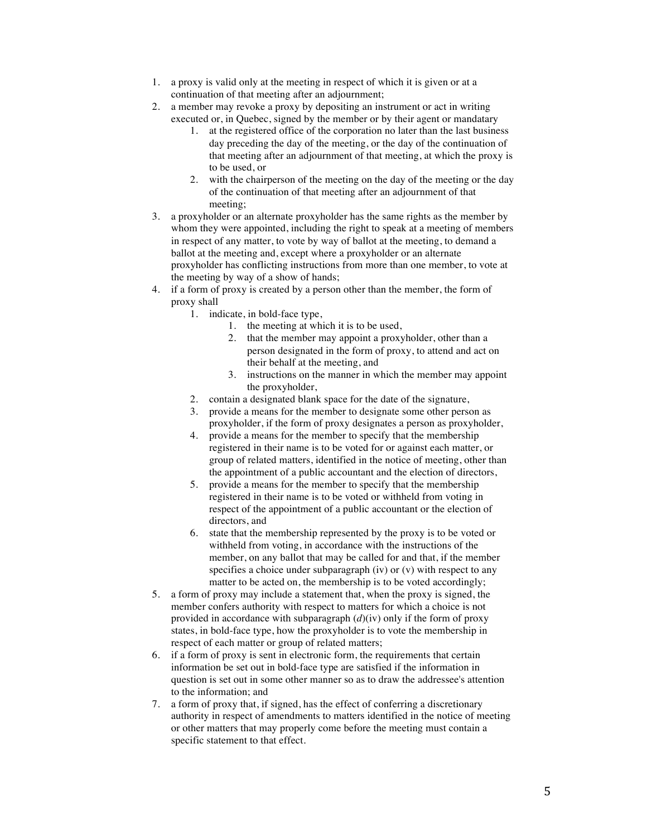- 1. a proxy is valid only at the meeting in respect of which it is given or at a continuation of that meeting after an adjournment;
- 2. a member may revoke a proxy by depositing an instrument or act in writing executed or, in Quebec, signed by the member or by their agent or mandatary
	- 1. at the registered office of the corporation no later than the last business day preceding the day of the meeting, or the day of the continuation of that meeting after an adjournment of that meeting, at which the proxy is to be used, or
	- 2. with the chairperson of the meeting on the day of the meeting or the day of the continuation of that meeting after an adjournment of that meeting;
- 3. a proxyholder or an alternate proxyholder has the same rights as the member by whom they were appointed, including the right to speak at a meeting of members in respect of any matter, to vote by way of ballot at the meeting, to demand a ballot at the meeting and, except where a proxyholder or an alternate proxyholder has conflicting instructions from more than one member, to vote at the meeting by way of a show of hands;
- 4. if a form of proxy is created by a person other than the member, the form of proxy shall
	- 1. indicate, in bold-face type,
		- 1. the meeting at which it is to be used,
		- 2. that the member may appoint a proxyholder, other than a person designated in the form of proxy, to attend and act on their behalf at the meeting, and
		- 3. instructions on the manner in which the member may appoint the proxyholder,
	- 2. contain a designated blank space for the date of the signature,
	- 3. provide a means for the member to designate some other person as proxyholder, if the form of proxy designates a person as proxyholder,
	- 4. provide a means for the member to specify that the membership registered in their name is to be voted for or against each matter, or group of related matters, identified in the notice of meeting, other than the appointment of a public accountant and the election of directors,
	- 5. provide a means for the member to specify that the membership registered in their name is to be voted or withheld from voting in respect of the appointment of a public accountant or the election of directors, and
	- 6. state that the membership represented by the proxy is to be voted or withheld from voting, in accordance with the instructions of the member, on any ballot that may be called for and that, if the member specifies a choice under subparagraph (iv) or (v) with respect to any matter to be acted on, the membership is to be voted accordingly;
- 5. a form of proxy may include a statement that, when the proxy is signed, the member confers authority with respect to matters for which a choice is not provided in accordance with subparagraph (*d*)(iv) only if the form of proxy states, in bold-face type, how the proxyholder is to vote the membership in respect of each matter or group of related matters;
- 6. if a form of proxy is sent in electronic form, the requirements that certain information be set out in bold-face type are satisfied if the information in question is set out in some other manner so as to draw the addressee's attention to the information; and
- 7. a form of proxy that, if signed, has the effect of conferring a discretionary authority in respect of amendments to matters identified in the notice of meeting or other matters that may properly come before the meeting must contain a specific statement to that effect.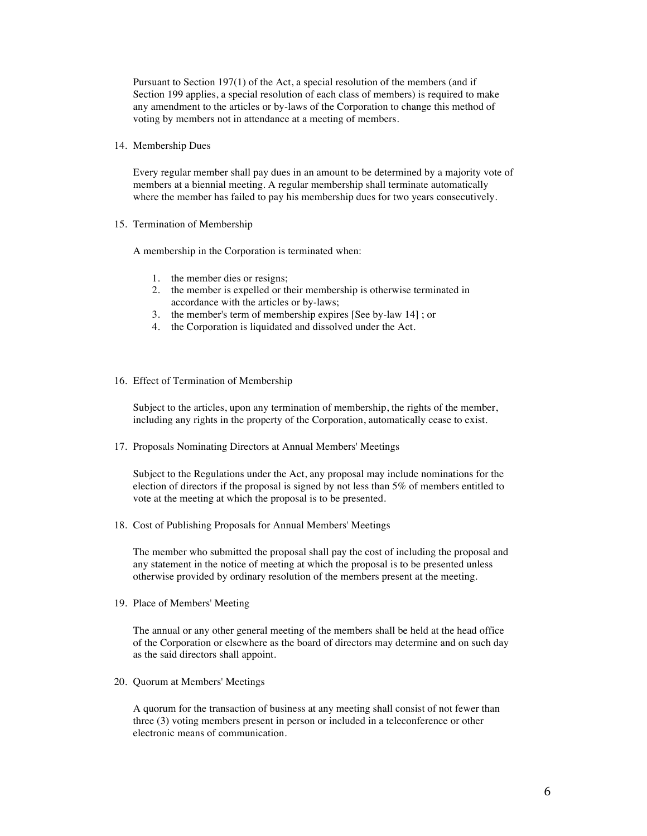Pursuant to Section 197(1) of the Act, a special resolution of the members (and if Section 199 applies, a special resolution of each class of members) is required to make any amendment to the articles or by-laws of the Corporation to change this method of voting by members not in attendance at a meeting of members.

14. Membership Dues

Every regular member shall pay dues in an amount to be determined by a majority vote of members at a biennial meeting. A regular membership shall terminate automatically where the member has failed to pay his membership dues for two years consecutively.

15. Termination of Membership

A membership in the Corporation is terminated when:

- 1. the member dies or resigns;
- 2. the member is expelled or their membership is otherwise terminated in accordance with the articles or by-laws;
- 3. the member's term of membership expires [See by-law 14] ; or
- 4. the Corporation is liquidated and dissolved under the Act.
- 16. Effect of Termination of Membership

Subject to the articles, upon any termination of membership, the rights of the member, including any rights in the property of the Corporation, automatically cease to exist.

17. Proposals Nominating Directors at Annual Members' Meetings

Subject to the Regulations under the Act, any proposal may include nominations for the election of directors if the proposal is signed by not less than 5% of members entitled to vote at the meeting at which the proposal is to be presented.

18. Cost of Publishing Proposals for Annual Members' Meetings

The member who submitted the proposal shall pay the cost of including the proposal and any statement in the notice of meeting at which the proposal is to be presented unless otherwise provided by ordinary resolution of the members present at the meeting.

19. Place of Members' Meeting

The annual or any other general meeting of the members shall be held at the head office of the Corporation or elsewhere as the board of directors may determine and on such day as the said directors shall appoint.

20. Quorum at Members' Meetings

A quorum for the transaction of business at any meeting shall consist of not fewer than three (3) voting members present in person or included in a teleconference or other electronic means of communication.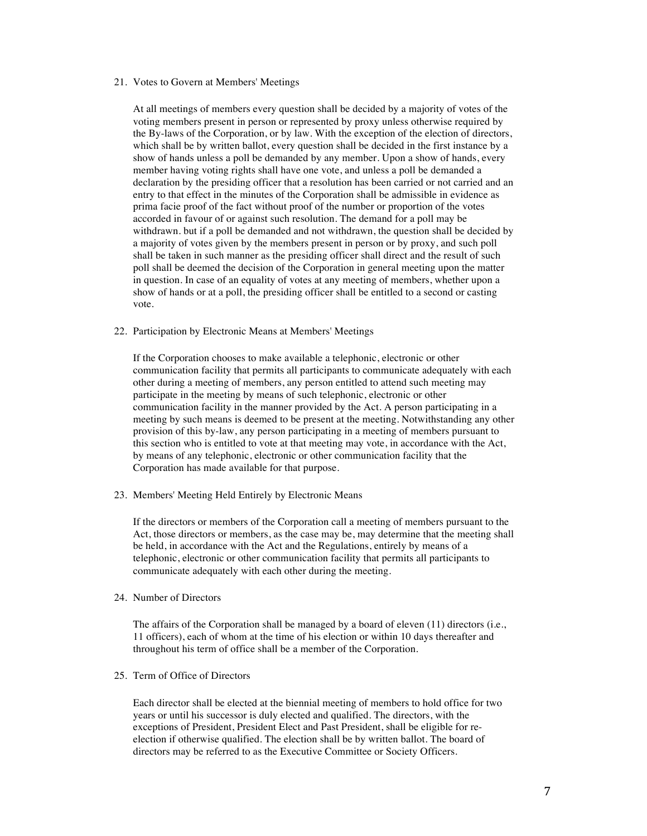### 21. Votes to Govern at Members' Meetings

At all meetings of members every question shall be decided by a majority of votes of the voting members present in person or represented by proxy unless otherwise required by the By-laws of the Corporation, or by law. With the exception of the election of directors, which shall be by written ballot, every question shall be decided in the first instance by a show of hands unless a poll be demanded by any member. Upon a show of hands, every member having voting rights shall have one vote, and unless a poll be demanded a declaration by the presiding officer that a resolution has been carried or not carried and an entry to that effect in the minutes of the Corporation shall be admissible in evidence as prima facie proof of the fact without proof of the number or proportion of the votes accorded in favour of or against such resolution. The demand for a poll may be withdrawn. but if a poll be demanded and not withdrawn, the question shall be decided by a majority of votes given by the members present in person or by proxy, and such poll shall be taken in such manner as the presiding officer shall direct and the result of such poll shall be deemed the decision of the Corporation in general meeting upon the matter in question. In case of an equality of votes at any meeting of members, whether upon a show of hands or at a poll, the presiding officer shall be entitled to a second or casting vote.

#### 22. Participation by Electronic Means at Members' Meetings

If the Corporation chooses to make available a telephonic, electronic or other communication facility that permits all participants to communicate adequately with each other during a meeting of members, any person entitled to attend such meeting may participate in the meeting by means of such telephonic, electronic or other communication facility in the manner provided by the Act. A person participating in a meeting by such means is deemed to be present at the meeting. Notwithstanding any other provision of this by-law, any person participating in a meeting of members pursuant to this section who is entitled to vote at that meeting may vote, in accordance with the Act, by means of any telephonic, electronic or other communication facility that the Corporation has made available for that purpose.

23. Members' Meeting Held Entirely by Electronic Means

If the directors or members of the Corporation call a meeting of members pursuant to the Act, those directors or members, as the case may be, may determine that the meeting shall be held, in accordance with the Act and the Regulations, entirely by means of a telephonic, electronic or other communication facility that permits all participants to communicate adequately with each other during the meeting.

## 24. Number of Directors

The affairs of the Corporation shall be managed by a board of eleven (11) directors (i.e., 11 officers), each of whom at the time of his election or within 10 days thereafter and throughout his term of office shall be a member of the Corporation.

## 25. Term of Office of Directors

Each director shall be elected at the biennial meeting of members to hold office for two years or until his successor is duly elected and qualified. The directors, with the exceptions of President, President Elect and Past President, shall be eligible for reelection if otherwise qualified. The election shall be by written ballot. The board of directors may be referred to as the Executive Committee or Society Officers.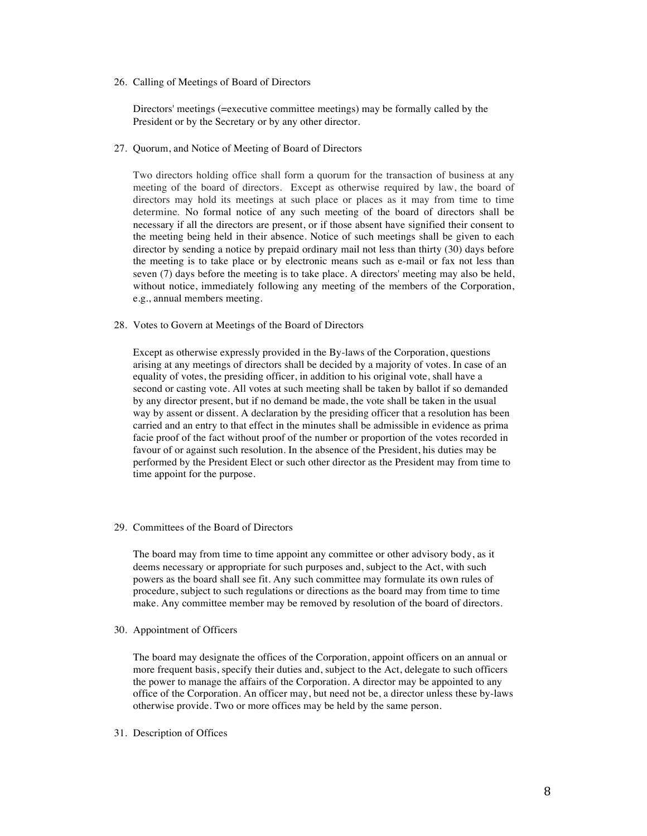26. Calling of Meetings of Board of Directors

Directors' meetings (=executive committee meetings) may be formally called by the President or by the Secretary or by any other director.

27. Quorum, and Notice of Meeting of Board of Directors

Two directors holding office shall form a quorum for the transaction of business at any meeting of the board of directors. Except as otherwise required by law, the board of directors may hold its meetings at such place or places as it may from time to time determine. No formal notice of any such meeting of the board of directors shall be necessary if all the directors are present, or if those absent have signified their consent to the meeting being held in their absence. Notice of such meetings shall be given to each director by sending a notice by prepaid ordinary mail not less than thirty (30) days before the meeting is to take place or by electronic means such as e-mail or fax not less than seven (7) days before the meeting is to take place. A directors' meeting may also be held, without notice, immediately following any meeting of the members of the Corporation, e.g., annual members meeting.

28. Votes to Govern at Meetings of the Board of Directors

Except as otherwise expressly provided in the By-laws of the Corporation, questions arising at any meetings of directors shall be decided by a majority of votes. In case of an equality of votes, the presiding officer, in addition to his original vote, shall have a second or casting vote. All votes at such meeting shall be taken by ballot if so demanded by any director present, but if no demand be made, the vote shall be taken in the usual way by assent or dissent. A declaration by the presiding officer that a resolution has been carried and an entry to that effect in the minutes shall be admissible in evidence as prima facie proof of the fact without proof of the number or proportion of the votes recorded in favour of or against such resolution. In the absence of the President, his duties may be performed by the President Elect or such other director as the President may from time to time appoint for the purpose.

29. Committees of the Board of Directors

The board may from time to time appoint any committee or other advisory body, as it deems necessary or appropriate for such purposes and, subject to the Act, with such powers as the board shall see fit. Any such committee may formulate its own rules of procedure, subject to such regulations or directions as the board may from time to time make. Any committee member may be removed by resolution of the board of directors.

30. Appointment of Officers

The board may designate the offices of the Corporation, appoint officers on an annual or more frequent basis, specify their duties and, subject to the Act, delegate to such officers the power to manage the affairs of the Corporation. A director may be appointed to any office of the Corporation. An officer may, but need not be, a director unless these by-laws otherwise provide. Two or more offices may be held by the same person.

31. Description of Offices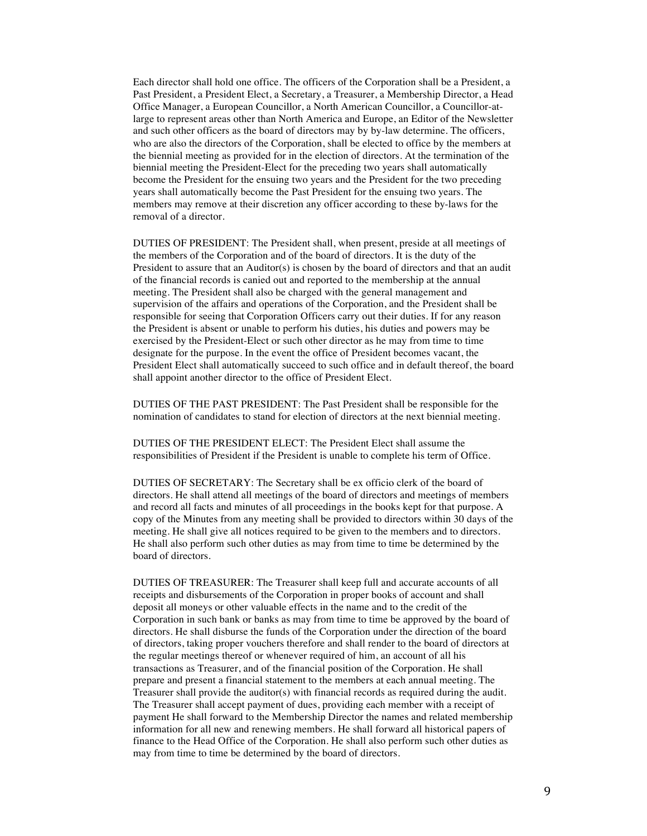Each director shall hold one office. The officers of the Corporation shall be a President, a Past President, a President Elect, a Secretary, a Treasurer, a Membership Director, a Head Office Manager, a European Councillor, a North American Councillor, a Councillor-atlarge to represent areas other than North America and Europe, an Editor of the Newsletter and such other officers as the board of directors may by by-law determine. The officers, who are also the directors of the Corporation, shall be elected to office by the members at the biennial meeting as provided for in the election of directors. At the termination of the biennial meeting the President-Elect for the preceding two years shall automatically become the President for the ensuing two years and the President for the two preceding years shall automatically become the Past President for the ensuing two years. The members may remove at their discretion any officer according to these by-laws for the removal of a director.

DUTIES OF PRESIDENT: The President shall, when present, preside at all meetings of the members of the Corporation and of the board of directors. It is the duty of the President to assure that an Auditor(s) is chosen by the board of directors and that an audit of the financial records is canied out and reported to the membership at the annual meeting. The President shall also be charged with the general management and supervision of the affairs and operations of the Corporation, and the President shall be responsible for seeing that Corporation Officers carry out their duties. If for any reason the President is absent or unable to perform his duties, his duties and powers may be exercised by the President-Elect or such other director as he may from time to time designate for the purpose. In the event the office of President becomes vacant, the President Elect shall automatically succeed to such office and in default thereof, the board shall appoint another director to the office of President Elect.

DUTIES OF THE PAST PRESIDENT: The Past President shall be responsible for the nomination of candidates to stand for election of directors at the next biennial meeting.

DUTIES OF THE PRESIDENT ELECT: The President Elect shall assume the responsibilities of President if the President is unable to complete his term of Office.

DUTIES OF SECRETARY: The Secretary shall be ex officio clerk of the board of directors. He shall attend all meetings of the board of directors and meetings of members and record all facts and minutes of all proceedings in the books kept for that purpose. A copy of the Minutes from any meeting shall be provided to directors within 30 days of the meeting. He shall give all notices required to be given to the members and to directors. He shall also perform such other duties as may from time to time be determined by the board of directors.

DUTIES OF TREASURER: The Treasurer shall keep full and accurate accounts of all receipts and disbursements of the Corporation in proper books of account and shall deposit all moneys or other valuable effects in the name and to the credit of the Corporation in such bank or banks as may from time to time be approved by the board of directors. He shall disburse the funds of the Corporation under the direction of the board of directors, taking proper vouchers therefore and shall render to the board of directors at the regular meetings thereof or whenever required of him, an account of all his transactions as Treasurer, and of the financial position of the Corporation. He shall prepare and present a financial statement to the members at each annual meeting. The Treasurer shall provide the auditor(s) with financial records as required during the audit. The Treasurer shall accept payment of dues, providing each member with a receipt of payment He shall forward to the Membership Director the names and related membership information for all new and renewing members. He shall forward all historical papers of finance to the Head Office of the Corporation. He shall also perform such other duties as may from time to time be determined by the board of directors.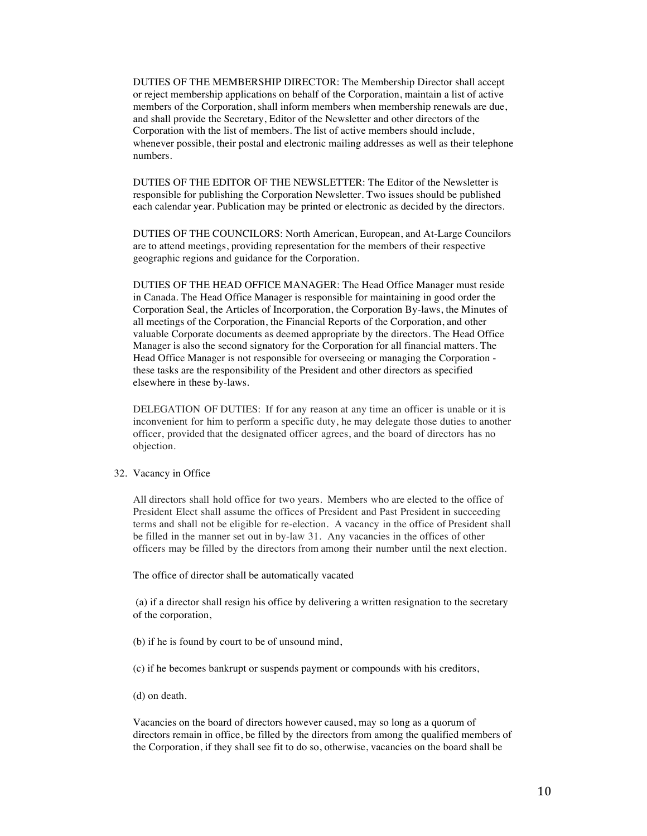DUTIES OF THE MEMBERSHIP DIRECTOR: The Membership Director shall accept or reject membership applications on behalf of the Corporation, maintain a list of active members of the Corporation, shall inform members when membership renewals are due, and shall provide the Secretary, Editor of the Newsletter and other directors of the Corporation with the list of members. The list of active members should include, whenever possible, their postal and electronic mailing addresses as well as their telephone numbers.

DUTIES OF THE EDITOR OF THE NEWSLETTER: The Editor of the Newsletter is responsible for publishing the Corporation Newsletter. Two issues should be published each calendar year. Publication may be printed or electronic as decided by the directors.

DUTIES OF THE COUNCILORS: North American, European, and At-Large Councilors are to attend meetings, providing representation for the members of their respective geographic regions and guidance for the Corporation.

DUTIES OF THE HEAD OFFICE MANAGER: The Head Office Manager must reside in Canada. The Head Office Manager is responsible for maintaining in good order the Corporation Seal, the Articles of Incorporation, the Corporation By-laws, the Minutes of all meetings of the Corporation, the Financial Reports of the Corporation, and other valuable Corporate documents as deemed appropriate by the directors. The Head Office Manager is also the second signatory for the Corporation for all financial matters. The Head Office Manager is not responsible for overseeing or managing the Corporation these tasks are the responsibility of the President and other directors as specified elsewhere in these by-laws.

DELEGATION OF DUTIES: If for any reason at any time an officer is unable or it is inconvenient for him to perform a specific duty, he may delegate those duties to another officer, provided that the designated officer agrees, and the board of directors has no objection.

#### 32. Vacancy in Office

All directors shall hold office for two years. Members who are elected to the office of President Elect shall assume the offices of President and Past President in succeeding terms and shall not be eligible for re-election. A vacancy in the office of President shall be filled in the manner set out in by-law 31. Any vacancies in the offices of other officers may be filled by the directors from among their number until the next election.

The office of director shall be automatically vacated

(a) if a director shall resign his office by delivering a written resignation to the secretary of the corporation,

(b) if he is found by court to be of unsound mind,

(c) if he becomes bankrupt or suspends payment or compounds with his creditors,

(d) on death.

Vacancies on the board of directors however caused, may so long as a quorum of directors remain in office, be filled by the directors from among the qualified members of the Corporation, if they shall see fit to do so, otherwise, vacancies on the board shall be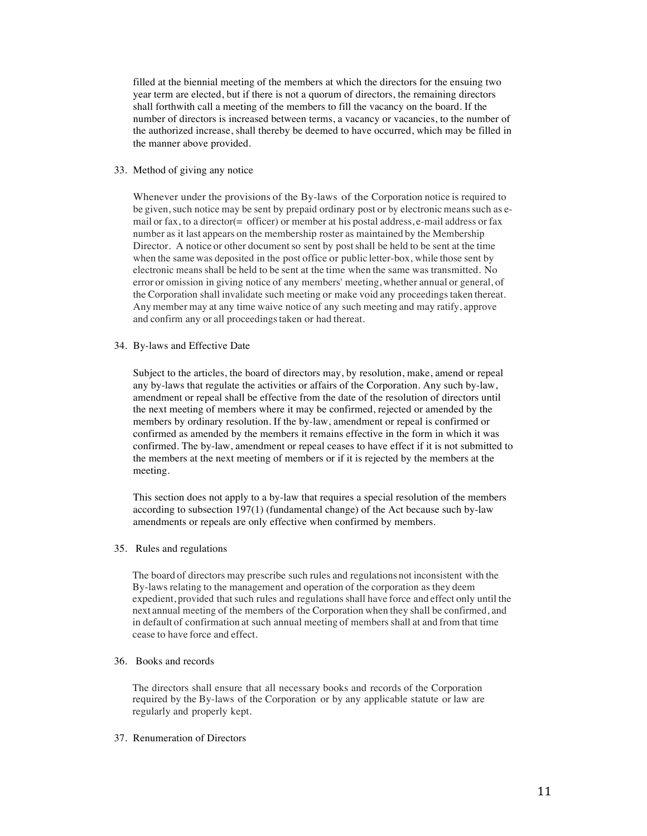filled at the biennial meeting of the members at which the directors for the ensuing two year term are elected, but if there is not a quorum of directors, the remaining directors shall forthwith call a meeting of the members to fill the vacancy on the board. If the number of directors is increased between terms, a vacancy or vacancies, to the number of the authorized increase, shall thereby be deemed to have occurred, which may be filled in the manner above provided.

### 33. Method of giving any notice

Whenever under the provisions of the By-laws of the Corporation notice is required to be given, such notice may be sent by prepaid ordinary post or by electronic means such as email or fax, to a director( $=$  officer) or member at his postal address, e-mail address or fax number as it last appears on the membership roster as maintained by the Membership Director. A notice or other document so sent by post shall be held to be sent at the time when the same was deposited in the post office or public letter-box, while those sent by electronic means shall be held to be sent at the time when the same was transmitted. No error or omission in giving notice of any members' meeting, whether annual or general, of the Corporation shall invalidate such meeting or make void any proceedings taken thereat. Any member may at any time waive notice of any such meeting and may ratify, approve and confirm any or all proceedingstaken or had thereat.

34. By-laws and Effective Date

Subject to the articles, the board of directors may, by resolution, make, amend or repeal any by-laws that regulate the activities or affairs of the Corporation. Any such by-law, amendment or repeal shall be effective from the date of the resolution of directors until the next meeting of members where it may be confirmed, rejected or amended by the members by ordinary resolution. If the by-law, amendment or repeal is confirmed or confirmed as amended by the members it remains effective in the form in which it was confirmed. The by-law, amendment or repeal ceases to have effect if it is not submitted to the members at the next meeting of members or if it is rejected by the members at the meeting.

This section does not apply to a by-law that requires a special resolution of the members according to subsection 197(1) (fundamental change) of the Act because such by-law amendments or repeals are only effective when confirmed by members.

## 35. Rules and regulations

The board of directors may prescribe such rules and regulations not inconsistent with the By-laws relating to the management and operation of the corporation as they deem expedient, provided that such rules and regulations shall have force and effect only until the next annual meeting of the members of the Corporation when they shall be confirmed, and in default of confirmation at such annual meeting of members shall at and from that time cease to have force and effect.

# 36. Books and records

The directors shall ensure that all necessary books and records of the Corporation required by the By-laws of the Corporation or by any applicable statute or law are regularly and properly kept.

#### 37. Renumeration of Directors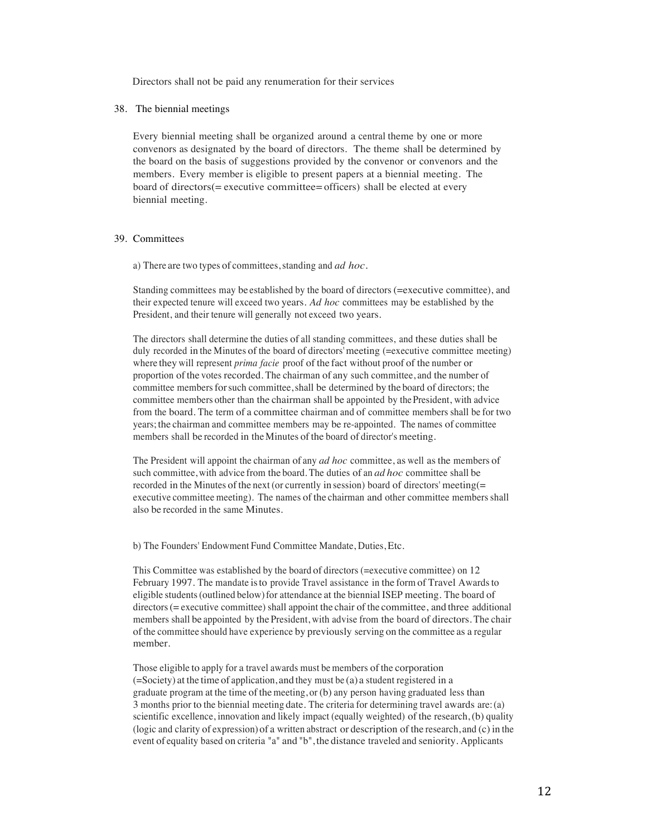Directors shall not be paid any renumeration for their services

38. The biennial meetings

Every biennial meeting shall be organized around a central theme by one or more convenors as designated by the board of directors. The theme shall be determined by the board on the basis of suggestions provided by the convenor or convenors and the members. Every member is eligible to present papers at a biennial meeting. The board of directors(= executive committee= officers) shall be elected at every biennial meeting.

## 39. Committees

a) There are two types of committees, standing and *ad hoc*.

Standing committees may be established by the board of directors (=executive committee), and their expected tenure will exceed two years. *Ad hoc* committees may be established by the President, and their tenure will generally not exceed two years.

The directors shall determine the duties of all standing committees, and these duties shall be duly recorded in the Minutes of the board of directors'meeting (=executive committee meeting) where they will represent *prima facie* proof of the fact without proof of the number or proportion of the votes recorded. The chairman of any such committee, and the number of committee membersforsuch committee,shall be determined by the board of directors; the committee members other than the chairman shall be appointed by thePresident, with advice from the board. The term of a committee chairman and of committee members shall be for two years; the chairman and committee members may be re-appointed. The names of committee members shall be recorded in the Minutes of the board of director's meeting.

The President will appoint the chairman of any *ad hoc* committee, as well as the members of such committee, with advice from the board. The duties of an *ad hoc* committee shall be recorded in the Minutes of the next (or currently in session) board of directors' meeting(= executive committee meeting). The names of the chairman and other committee members shall also be recorded in the same Minutes.

b) The Founders' Endowment Fund Committee Mandate, Duties, Etc.

This Committee was established by the board of directors (=executive committee) on 12 February 1997. The mandate isto provide Travel assistance in the form of Travel Awardsto eligible students(outlined below)for attendance at the biennial ISEP meeting. The board of directors(= executive committee) shall appoint the chair of the committee, and three additional members shall be appointed by the President, with advise from the board of directors. The chair ofthe committee should have experience by previously serving on the committee as a regular member.

Those eligible to apply for a travel awards must be members of the corporation (=Society) at the time of application, and they must be (a) a student registered in a graduate program at the time of the meeting, or  $(b)$  any person having graduated less than 3 months prior to the biennial meeting date. The criteria for determining travel awards are:(a) scientific excellence, innovation and likely impact (equally weighted) of the research, (b) quality (logic and clarity of expression) of a written abstract or description of the research, and (c) in the event of equality based on criteria "a" and "b", the distance traveled and seniority. Applicants